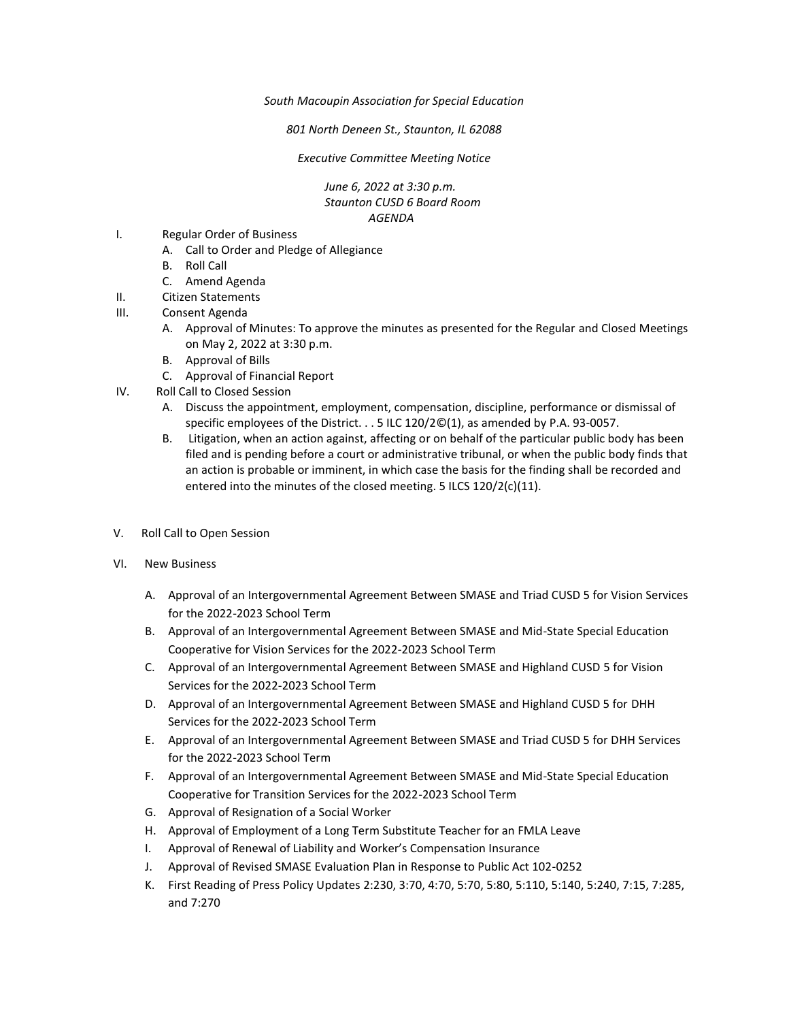*South Macoupin Association for Special Education* 

*801 North Deneen St., Staunton, IL 62088* 

*Executive Committee Meeting Notice*

*June 6, 2022 at 3:30 p.m. Staunton CUSD 6 Board Room AGENDA*

- I. Regular Order of Business
	- A. Call to Order and Pledge of Allegiance
	- B. Roll Call
	- C. Amend Agenda
- II. Citizen Statements
- III. Consent Agenda
	- A. Approval of Minutes: To approve the minutes as presented for the Regular and Closed Meetings on May 2, 2022 at 3:30 p.m.
	- B. Approval of Bills
	- C. Approval of Financial Report
- IV. Roll Call to Closed Session
	- A. Discuss the appointment, employment, compensation, discipline, performance or dismissal of specific employees of the District. . . 5 ILC 120/2©(1), as amended by P.A. 93-0057.
	- B. Litigation, when an action against, affecting or on behalf of the particular public body has been filed and is pending before a court or administrative tribunal, or when the public body finds that an action is probable or imminent, in which case the basis for the finding shall be recorded and entered into the minutes of the closed meeting. 5 ILCS 120/2(c)(11).
- V. Roll Call to Open Session
- VI. New Business
	- A. Approval of an Intergovernmental Agreement Between SMASE and Triad CUSD 5 for Vision Services for the 2022-2023 School Term
	- B. Approval of an Intergovernmental Agreement Between SMASE and Mid-State Special Education Cooperative for Vision Services for the 2022-2023 School Term
	- C. Approval of an Intergovernmental Agreement Between SMASE and Highland CUSD 5 for Vision Services for the 2022-2023 School Term
	- D. Approval of an Intergovernmental Agreement Between SMASE and Highland CUSD 5 for DHH Services for the 2022-2023 School Term
	- E. Approval of an Intergovernmental Agreement Between SMASE and Triad CUSD 5 for DHH Services for the 2022-2023 School Term
	- F. Approval of an Intergovernmental Agreement Between SMASE and Mid-State Special Education Cooperative for Transition Services for the 2022-2023 School Term
	- G. Approval of Resignation of a Social Worker
	- H. Approval of Employment of a Long Term Substitute Teacher for an FMLA Leave
	- I. Approval of Renewal of Liability and Worker's Compensation Insurance
	- J. Approval of Revised SMASE Evaluation Plan in Response to Public Act 102-0252
	- K. First Reading of Press Policy Updates 2:230, 3:70, 4:70, 5:70, 5:80, 5:110, 5:140, 5:240, 7:15, 7:285, and 7:270